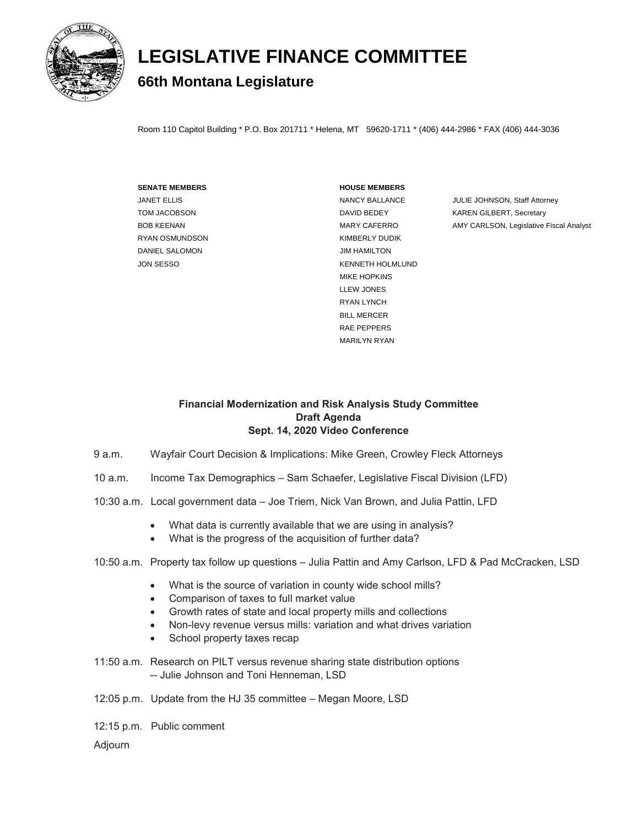

## **LEGISLATIVE FINANCE COMMITTEE 66th Montana Legislature**

Room 110 Capitol Building \* P.O. Box 201711 \* Helena, MT 59620-1711 \* (406) 444-2986 \* FAX (406) 444-3036

## **SENATE MEMBERS HOUSE MEMBERS**

RYAN OSMUNDSON KIMBERLY DUDIK DANIEL SALOMON DANIEL SALOMON

JON SESSO KENNETH HOLMLUND MIKE HOPKINS LLEW JONES RYAN LYNCH BILL MERCER RAE PEPPERS MARILYN RYAN

JANET ELLIS **NANCY BALLANCE** JULIE JOHNSON, Staff Attorney TOM JACOBSON **EXAMPLE 20 INCREASE A REAL PROPERTY CONTAINS A REAL PROPERTY FOR A REAL PROPERTY CONTAINING** BOB KEENAN MARY CAFERRO AMY CARLSON, Legislative Fiscal Analyst

## **Financial Modernization and Risk Analysis Study Committee Draft Agenda Sept. 14, 2020 Video Conference**

- 9 a.m. Wayfair Court Decision & Implications: Mike Green, Crowley Fleck Attorneys
- 10 a.m. Income Tax Demographics Sam Schaefer, Legislative Fiscal Division (LFD)
- 10:30 a.m. Local government data Joe Triem, Nick Van Brown, and Julia Pattin, LFD
	- What data is currently available that we are using in analysis?
	- What is the progress of the acquisition of further data?
- 10:50 a.m. Property tax follow up questions Julia Pattin and Amy Carlson, LFD & Pad McCracken, LSD
	- What is the source of variation in county wide school mills?
	- Comparison of taxes to full market value
	- Growth rates of state and local property mills and collections
	- Non-levy revenue versus mills: variation and what drives variation
	- School property taxes recap
- 11:50 a.m. Research on PILT versus revenue sharing state distribution options -- Julie Johnson and Toni Henneman, LSD
- 12:05 p.m. Update from the HJ 35 committee Megan Moore, LSD
- 12:15 p.m. Public comment

Adjourn